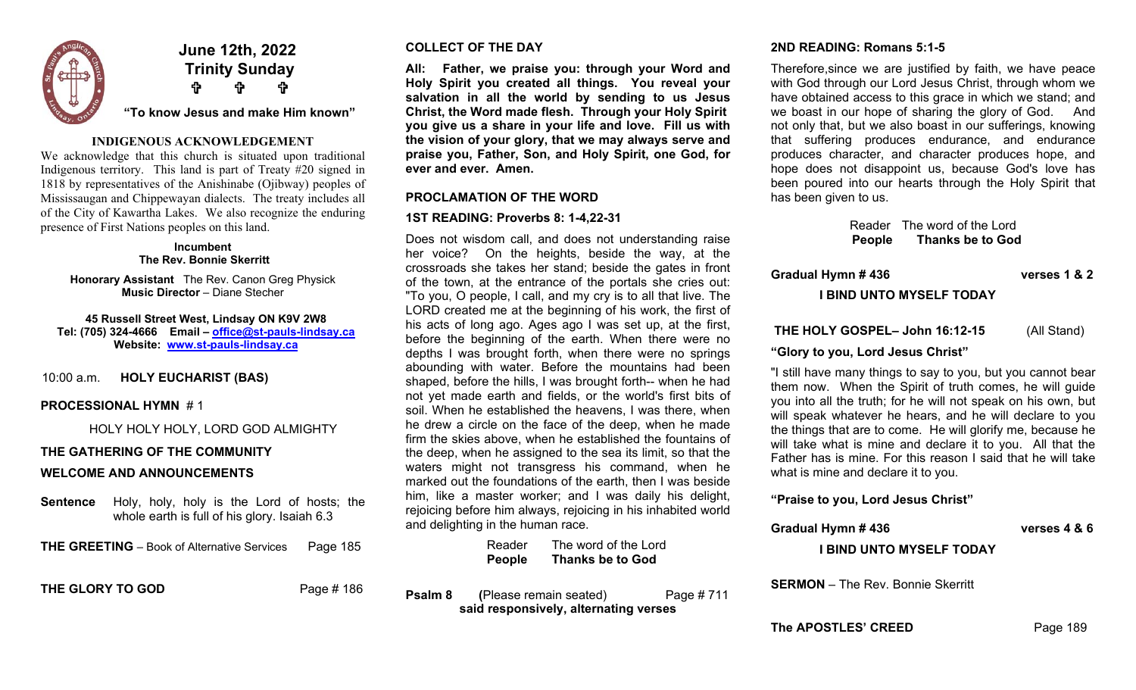

## **INDIGENOUS ACKNOWLEDGEMENT**

We acknowledge that this church is situated upon traditional Indigenous territory. This land is part of Treaty #20 signed in 1818 by representatives of the Anishinabe (Ojibway) peoples of Mississaugan and Chippewayan dialects. The treaty includes all of the City of Kawartha Lakes. We also recognize the enduring presence of First Nations peoples on this land.

#### **Incumbent The Rev. Bonnie Skerritt**

**Honorary Assistant** The Rev. Canon Greg Physick **Music Director** – Diane Stecher

#### **45 Russell Street West, Lindsay ON K9V 2W8 Tel: (705) 324-4666 Email – office@st-pauls-lindsay.ca Website: www.st-pauls-lindsay.ca**

10:00 a.m. **HOLY EUCHARIST (BAS)** 

## **PROCESSIONAL HYMN** # 1

HOLY HOLY HOLY, LORD GOD ALMIGHTY

## **THE GATHERING OF THE COMMUNITY**

## **WELCOME AND ANNOUNCEMENTS**

**Sentence** Holy, holy, holy is the Lord of hosts; the whole earth is full of his glory. Isaiah 6.3

**THE GREETING** – Book of Alternative Services Page 185

# **THE GLORY TO GOD** Page # 186

#### **COLLECT OF THE DAY**

**All: Father, we praise you: through your Word and Holy Spirit you created all things. You reveal your salvation in all the world by sending to us Jesus Christ, the Word made flesh. Through your Holy Spirit you give us a share in your life and love. Fill us with the vision of your glory, that we may always serve and praise you, Father, Son, and Holy Spirit, one God, for ever and ever. Amen.** 

# **PROCLAMATION OF THE WORD**

# **1ST READING: Proverbs 8: 1-4,22-31**

Does not wisdom call, and does not understanding raise her voice? On the heights, beside the way, at the crossroads she takes her stand; beside the gates in front of the town, at the entrance of the portals she cries out: "To you, O people, I call, and my cry is to all that live. The LORD created me at the beginning of his work, the first of his acts of long ago. Ages ago I was set up, at the first, before the beginning of the earth. When there were no depths I was brought forth, when there were no springs abounding with water. Before the mountains had been shaped, before the hills, I was brought forth-- when he had not yet made earth and fields, or the world's first bits of soil. When he established the heavens, I was there, when he drew a circle on the face of the deep, when he made firm the skies above, when he established the fountains of the deep, when he assigned to the sea its limit, so that the waters might not transgress his command, when he marked out the foundations of the earth, then I was beside him, like a master worker; and I was daily his delight, rejoicing before him always, rejoicing in his inhabited world and delighting in the human race.

| Reader        | The word of the Lord    |
|---------------|-------------------------|
| <b>People</b> | <b>Thanks be to God</b> |

**Psalm 8** (Please remain seated) Page # 711 **said responsively, alternating verses** 

# **2ND READING: Romans 5:1-5**

Therefore,since we are justified by faith, we have peace with God through our Lord Jesus Christ, through whom we have obtained access to this grace in which we stand; and we boast in our hope of sharing the glory of God. And not only that, but we also boast in our sufferings, knowing that suffering produces endurance, and endurance produces character, and character produces hope, and hope does not disappoint us, because God's love has been poured into our hearts through the Holy Spirit that has been given to us.

| Reader | The word of the Lord    |
|--------|-------------------------|
| People | <b>Thanks be to God</b> |

#### **Gradual Hymn # 436 verses 1 & 2**

## **I BIND UNTO MYSELF TODAY**

# **THE HOLY GOSPEL– John 16:12-15** (All Stand)

# **"Glory to you, Lord Jesus Christ"**

"I still have many things to say to you, but you cannot bear them now. When the Spirit of truth comes, he will guide you into all the truth; for he will not speak on his own, but will speak whatever he hears, and he will declare to you the things that are to come. He will glorify me, because he will take what is mine and declare it to you. All that the Father has is mine. For this reason I said that he will take what is mine and declare it to you.

**"Praise to you, Lord Jesus Christ"** 

**Gradual Hymn # 436 verses 4 & 6** 

**I BIND UNTO MYSELF TODAY**

**SERMON** – The Rev. Bonnie Skerritt

**The APOSTLES' CREED** Page 189